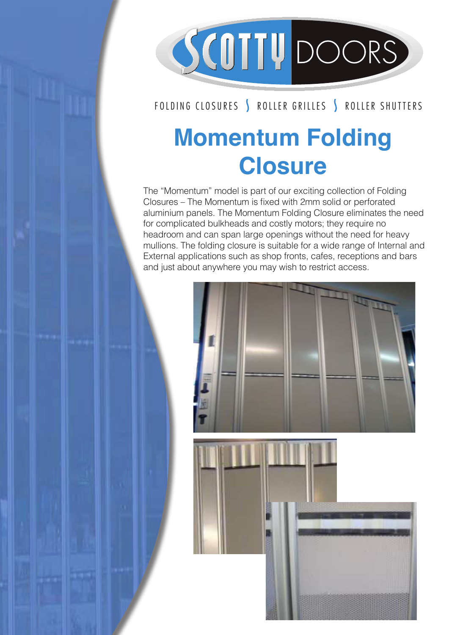

## FOLDING CLOSURES | ROLLER GRILLES | ROLLER SHUTTERS

## **Momentum Folding Closure**

The "Momentum" model is part of our exciting collection of Folding The Momentum moderns part of our exchang collection of Foldin<br>Closures – The Momentum is fixed with 2mm solid or perforated aluminium panels. The Momentum Folding Closure eliminates the need for complicated bulkheads and costly motors; they require no headroom and can span large openings without the need for heavy mullions. The folding closure is suitable for a wide range of Internal and mullions. The folding closure is suitable for a wide range of Internal and External applications such as shop fronts, cafes, receptions and bars and just about anywhere you may wish to restrict access. GLASS DOOR DE GEBRUIK DE GEBRUIKE DE GEBRUIKE DE GEBRUIKE DE GEBRUIKE DE GEBRUIKE DE GEBRUIKE DE GEBRUIKE DE G<br>Gebruike de gebruike de gebruike de gebruike de gebruike de gebruike de gebruike de gebruike de gebruike de ge